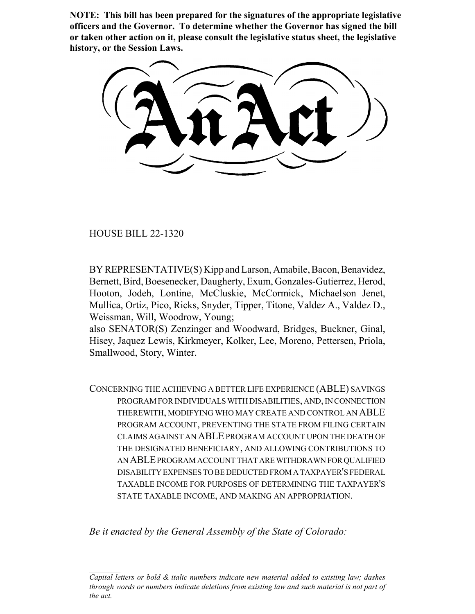**NOTE: This bill has been prepared for the signatures of the appropriate legislative officers and the Governor. To determine whether the Governor has signed the bill or taken other action on it, please consult the legislative status sheet, the legislative history, or the Session Laws.**

HOUSE BILL 22-1320

BY REPRESENTATIVE(S) Kipp and Larson, Amabile, Bacon, Benavidez, Bernett, Bird, Boesenecker, Daugherty, Exum, Gonzales-Gutierrez, Herod, Hooton, Jodeh, Lontine, McCluskie, McCormick, Michaelson Jenet, Mullica, Ortiz, Pico, Ricks, Snyder, Tipper, Titone, Valdez A., Valdez D., Weissman, Will, Woodrow, Young;

also SENATOR(S) Zenzinger and Woodward, Bridges, Buckner, Ginal, Hisey, Jaquez Lewis, Kirkmeyer, Kolker, Lee, Moreno, Pettersen, Priola, Smallwood, Story, Winter.

CONCERNING THE ACHIEVING A BETTER LIFE EXPERIENCE (ABLE) SAVINGS PROGRAM FOR INDIVIDUALS WITH DISABILITIES, AND, IN CONNECTION THEREWITH, MODIFYING WHO MAY CREATE AND CONTROL AN ABLE PROGRAM ACCOUNT, PREVENTING THE STATE FROM FILING CERTAIN CLAIMS AGAINST AN ABLE PROGRAM ACCOUNT UPON THE DEATH OF THE DESIGNATED BENEFICIARY, AND ALLOWING CONTRIBUTIONS TO AN ABLE PROGRAM ACCOUNT THAT ARE WITHDRAWN FOR QUALIFIED DISABILITY EXPENSES TO BE DEDUCTED FROM A TAXPAYER'S FEDERAL TAXABLE INCOME FOR PURPOSES OF DETERMINING THE TAXPAYER'S STATE TAXABLE INCOME, AND MAKING AN APPROPRIATION.

*Be it enacted by the General Assembly of the State of Colorado:*

*Capital letters or bold & italic numbers indicate new material added to existing law; dashes through words or numbers indicate deletions from existing law and such material is not part of the act.*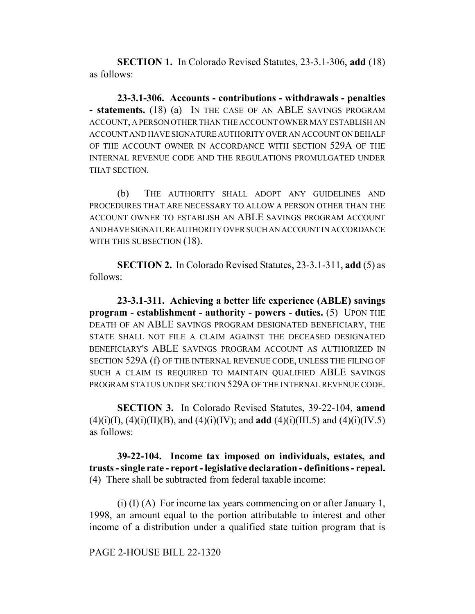**SECTION 1.** In Colorado Revised Statutes, 23-3.1-306, **add** (18) as follows:

**23-3.1-306. Accounts - contributions - withdrawals - penalties - statements.** (18) (a) IN THE CASE OF AN ABLE SAVINGS PROGRAM ACCOUNT, A PERSON OTHER THAN THE ACCOUNT OWNER MAY ESTABLISH AN ACCOUNT AND HAVE SIGNATURE AUTHORITY OVER AN ACCOUNT ON BEHALF OF THE ACCOUNT OWNER IN ACCORDANCE WITH SECTION 529A OF THE INTERNAL REVENUE CODE AND THE REGULATIONS PROMULGATED UNDER THAT SECTION.

(b) THE AUTHORITY SHALL ADOPT ANY GUIDELINES AND PROCEDURES THAT ARE NECESSARY TO ALLOW A PERSON OTHER THAN THE ACCOUNT OWNER TO ESTABLISH AN ABLE SAVINGS PROGRAM ACCOUNT AND HAVE SIGNATURE AUTHORITY OVER SUCH AN ACCOUNT IN ACCORDANCE WITH THIS SUBSECTION (18).

**SECTION 2.** In Colorado Revised Statutes, 23-3.1-311, **add** (5) as follows:

**23-3.1-311. Achieving a better life experience (ABLE) savings program - establishment - authority - powers - duties.** (5) UPON THE DEATH OF AN ABLE SAVINGS PROGRAM DESIGNATED BENEFICIARY, THE STATE SHALL NOT FILE A CLAIM AGAINST THE DECEASED DESIGNATED BENEFICIARY'S ABLE SAVINGS PROGRAM ACCOUNT AS AUTHORIZED IN SECTION 529A (f) OF THE INTERNAL REVENUE CODE, UNLESS THE FILING OF SUCH A CLAIM IS REQUIRED TO MAINTAIN QUALIFIED ABLE SAVINGS PROGRAM STATUS UNDER SECTION 529A OF THE INTERNAL REVENUE CODE.

**SECTION 3.** In Colorado Revised Statutes, 39-22-104, **amend**  $(4)(i)(I), (4)(i)(II)(B),$  and  $(4)(i)(IV)$ ; and **add**  $(4)(i)(III.5)$  and  $(4)(i)(IV.5)$ as follows:

**39-22-104. Income tax imposed on individuals, estates, and trusts - single rate - report - legislative declaration - definitions - repeal.** (4) There shall be subtracted from federal taxable income:

(i) (I) (A) For income tax years commencing on or after January 1, 1998, an amount equal to the portion attributable to interest and other income of a distribution under a qualified state tuition program that is

PAGE 2-HOUSE BILL 22-1320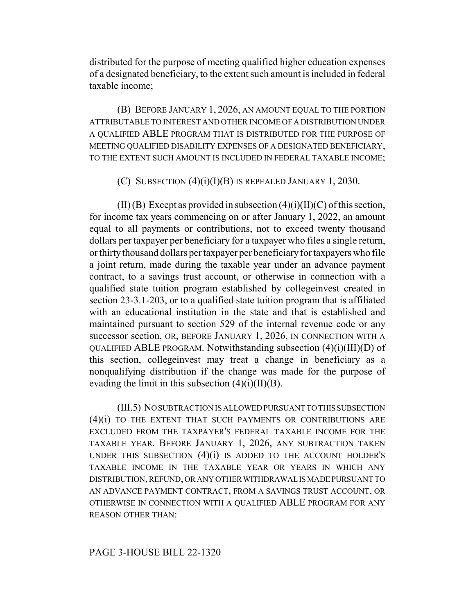distributed for the purpose of meeting qualified higher education expenses of a designated beneficiary, to the extent such amount is included in federal taxable income;

(B) BEFORE JANUARY 1, 2026, AN AMOUNT EQUAL TO THE PORTION ATTRIBUTABLE TO INTEREST AND OTHER INCOME OF A DISTRIBUTION UNDER A QUALIFIED ABLE PROGRAM THAT IS DISTRIBUTED FOR THE PURPOSE OF MEETING QUALIFIED DISABILITY EXPENSES OF A DESIGNATED BENEFICIARY, TO THE EXTENT SUCH AMOUNT IS INCLUDED IN FEDERAL TAXABLE INCOME;

(C) SUBSECTION  $(4)(i)(I)(B)$  IS REPEALED JANUARY 1, 2030.

 $(II)$  (B) Except as provided in subsection  $(4)(i)$  $(II)$  $(C)$  of this section, for income tax years commencing on or after January 1, 2022, an amount equal to all payments or contributions, not to exceed twenty thousand dollars per taxpayer per beneficiary for a taxpayer who files a single return, or thirty thousand dollars per taxpayer per beneficiary for taxpayers who file a joint return, made during the taxable year under an advance payment contract, to a savings trust account, or otherwise in connection with a qualified state tuition program established by collegeinvest created in section 23-3.1-203, or to a qualified state tuition program that is affiliated with an educational institution in the state and that is established and maintained pursuant to section 529 of the internal revenue code or any successor section, OR, BEFORE JANUARY 1, 2026, IN CONNECTION WITH A QUALIFIED ABLE PROGRAM. Notwithstanding subsection (4)(i)(III)(D) of this section, collegeinvest may treat a change in beneficiary as a nonqualifying distribution if the change was made for the purpose of evading the limit in this subsection  $(4)(i)(II)(B)$ .

(III.5) NO SUBTRACTION IS ALLOWED PURSUANT TO THIS SUBSECTION (4)(i) TO THE EXTENT THAT SUCH PAYMENTS OR CONTRIBUTIONS ARE EXCLUDED FROM THE TAXPAYER'S FEDERAL TAXABLE INCOME FOR THE TAXABLE YEAR. BEFORE JANUARY 1, 2026, ANY SUBTRACTION TAKEN UNDER THIS SUBSECTION  $(4)(i)$  is added to the account holder's TAXABLE INCOME IN THE TAXABLE YEAR OR YEARS IN WHICH ANY DISTRIBUTION, REFUND, OR ANY OTHER WITHDRAWAL IS MADE PURSUANT TO AN ADVANCE PAYMENT CONTRACT, FROM A SAVINGS TRUST ACCOUNT, OR OTHERWISE IN CONNECTION WITH A QUALIFIED ABLE PROGRAM FOR ANY REASON OTHER THAN: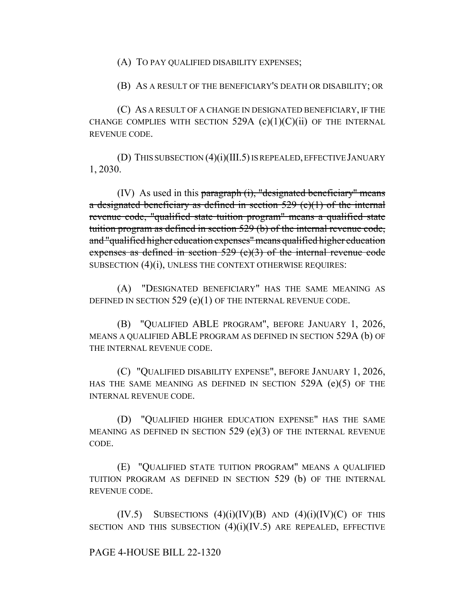(A) TO PAY QUALIFIED DISABILITY EXPENSES;

(B) AS A RESULT OF THE BENEFICIARY'S DEATH OR DISABILITY; OR

(C) AS A RESULT OF A CHANGE IN DESIGNATED BENEFICIARY, IF THE CHANGE COMPLIES WITH SECTION  $529A$  (c)(1)(C)(ii) OF THE INTERNAL REVENUE CODE.

(D) THIS SUBSECTION (4)(i)(III.5) IS REPEALED, EFFECTIVE JANUARY 1, 2030.

 $(IV)$  As used in this paragraph  $(i)$ , "designated beneficiary" means a designated beneficiary as defined in section  $529$  (e)(1) of the internal revenue code, "qualified state tuition program" means a qualified state tuition program as defined in section 529 (b) of the internal revenue code, and "qualified higher education expenses" means qualified higher education expenses as defined in section 529 (e)(3) of the internal revenue code SUBSECTION (4)(i), UNLESS THE CONTEXT OTHERWISE REQUIRES:

(A) "DESIGNATED BENEFICIARY" HAS THE SAME MEANING AS DEFINED IN SECTION 529 (e)(1) OF THE INTERNAL REVENUE CODE.

(B) "QUALIFIED ABLE PROGRAM", BEFORE JANUARY 1, 2026, MEANS A QUALIFIED ABLE PROGRAM AS DEFINED IN SECTION 529A (b) OF THE INTERNAL REVENUE CODE.

(C) "QUALIFIED DISABILITY EXPENSE", BEFORE JANUARY 1, 2026, HAS THE SAME MEANING AS DEFINED IN SECTION 529A (e)(5) OF THE INTERNAL REVENUE CODE.

(D) "QUALIFIED HIGHER EDUCATION EXPENSE" HAS THE SAME MEANING AS DEFINED IN SECTION 529 (e)(3) OF THE INTERNAL REVENUE CODE.

(E) "QUALIFIED STATE TUITION PROGRAM" MEANS A QUALIFIED TUITION PROGRAM AS DEFINED IN SECTION 529 (b) OF THE INTERNAL REVENUE CODE.

 $(IV.5)$  SUBSECTIONS  $(4)(i)(IV)(B)$  AND  $(4)(i)(IV)(C)$  OF THIS SECTION AND THIS SUBSECTION  $(4)(i)(IV.5)$  are repealed, effective

## PAGE 4-HOUSE BILL 22-1320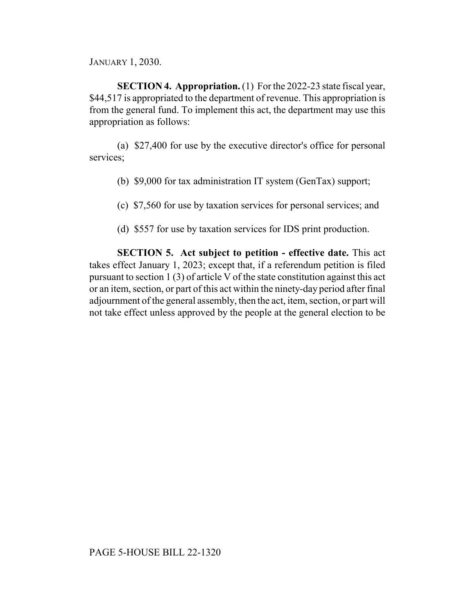JANUARY 1, 2030.

**SECTION 4. Appropriation.** (1) For the 2022-23 state fiscal year, \$44,517 is appropriated to the department of revenue. This appropriation is from the general fund. To implement this act, the department may use this appropriation as follows:

(a) \$27,400 for use by the executive director's office for personal services;

- (b) \$9,000 for tax administration IT system (GenTax) support;
- (c) \$7,560 for use by taxation services for personal services; and
- (d) \$557 for use by taxation services for IDS print production.

**SECTION 5. Act subject to petition - effective date.** This act takes effect January 1, 2023; except that, if a referendum petition is filed pursuant to section 1 (3) of article V of the state constitution against this act or an item, section, or part of this act within the ninety-day period after final adjournment of the general assembly, then the act, item, section, or part will not take effect unless approved by the people at the general election to be